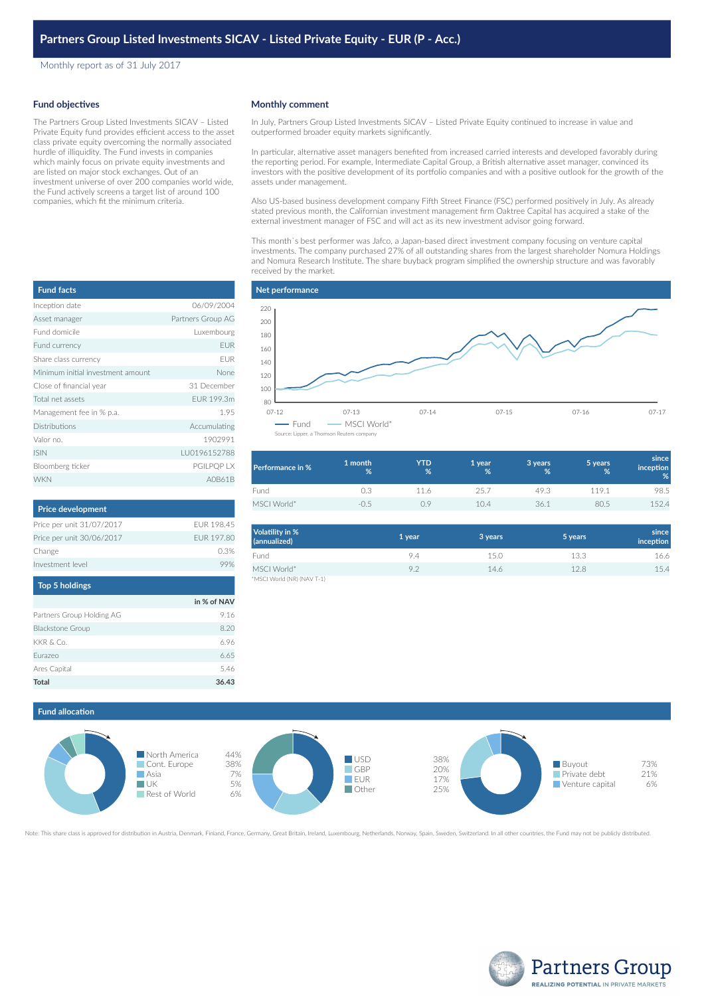Monthly report as of 31 July 2017

#### **Fund objectives**

The Partners Group Listed Investments SICAV – Listed Private Equity fund provides efficient access to the asset class private equity overcoming the normally associated hurdle of illiquidity. The Fund invests in companies which mainly focus on private equity investments and are listed on major stock exchanges. Out of an investment universe of over 200 companies world wide, the Fund actively screens a target list of around 100 companies, which fit the minimum criteria.

# Inception date 06/09/2004 Asset manager **Partners Group AG** Fund domicile Luxembourg Fund currency **EUR** Share class currency example of the EUR Minimum initial investment amount None Close of financial year 31 December Total net assets EUR 199.3m Management fee in % p.a. 1.95 Distributions **Accumulating** Valor no. 1902991 ISIN LU0196152788 Bloomberg ticker PGILPQP LX WKN AOB61B **Fund facts**

| FUR 198.45 |
|------------|
| EUR 197.80 |
| 0.3%       |
| 99%        |
|            |
|            |

|                           | in % of NAV |
|---------------------------|-------------|
| Partners Group Holding AG | 9.16        |
| <b>Blackstone Group</b>   | 8.20        |
| KKR & Co.                 | 6.96        |
| Furazeo                   | 6.65        |
| Ares Capital              | 5.46        |
| Total                     | 36.43       |

#### **Monthly comment**

In July, Partners Group Listed Investments SICAV – Listed Private Equity continued to increase in value and outperformed broader equity markets significantly.

In particular, alternative asset managers benefited from increased carried interests and developed favorably during the reporting period. For example, Intermediate Capital Group, a British alternative asset manager, convinced its investors with the positive development of its portfolio companies and with a positive outlook for the growth of the assets under management.

Also US-based business development company Fifth Street Finance (FSC) performed positively in July. As already stated previous month, the Californian investment management firm Oaktree Capital has acquired a stake of the external investment manager of FSC and will act as its new investment advisor going forward.

This month`s best performer was Jafco, a Japan-based direct investment company focusing on venture capital investments. The company purchased 27% of all outstanding shares from the largest shareholder Nomura Holdings and Nomura Research Institute. The share buyback program simplified the ownership structure and was favorably received by the market.



| <b>Performance in %</b> | 1 month<br>% | YTD<br>% | 1 vear<br>℅ | 3 years<br>% | 5 years<br>% | since<br>inception<br>% |
|-------------------------|--------------|----------|-------------|--------------|--------------|-------------------------|
| Fund                    | 0.3          | 11 6     | 25.7        | 49.3         | 119.1        | 98.5                    |
| MSCI World*             | -( ) 5       |          | 104         | 36.1         | 80.5         | 152.4                   |

| Volatility in %<br>(annualized) | 1 year | 3 years | 5 years | since<br>inception |
|---------------------------------|--------|---------|---------|--------------------|
| Fund                            | 9.4    | 15.0    | 13.3    | 16.6               |
| MSCI World*                     | 9.2    | 14.6    | 12.8    | 15.4               |
| *MSCI World (NR) (NAV T-1)      |        |         |         |                    |

#### **Fund allocation**



Note: This share class is approved for distribution in Austria, Denmark, Finland, France, Germany, Great Britain, Ireland, Luxembourg, Netherlands, Norway, Spain, Sweden, Switzerland. In all other countries, the Fund may n